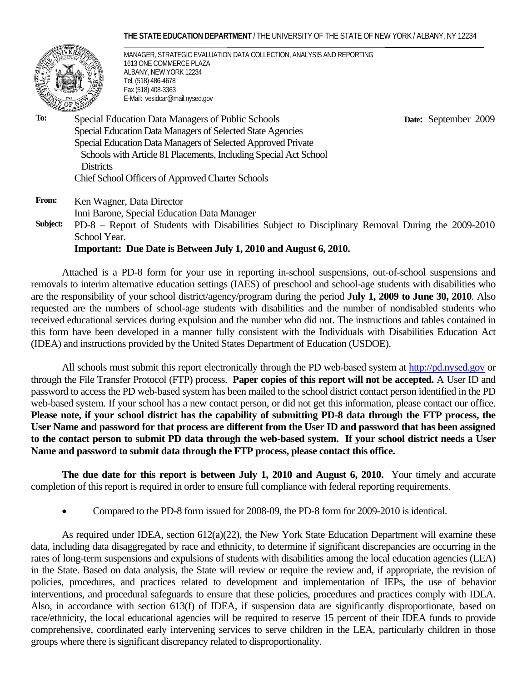### **THE STATE EDUCATION DEPARTMENT** / THE UNIVERSITY OF THE STATE OF NEW YORK / ALBANY, NY 12234



MANAGER, STRATEGIC EVALUATION DATA COLLECTION, ANALYSIS AND REPORTING 1613 ONE COMMERCE PLAZA ALBANY, NEW YORK 12234 Tel. (518) 486-4678 Fax (518) 408-3363 E-Mail: vesidcar@mail.nysed.gov

 **Date:** September 2009

**To:** Special Education Data Managers of Public Schools Special Education Data Managers of Selected State Agencies Special Education Data Managers of Selected Approved Private Schools with Article 81 Placements, Including Special Act School **Districts** Chief School Officers of Approved Charter Schools

**From:** Ken Wagner, Data Director Inni Barone, Special Education Data Manager

**Subject:** PD-8 – Report of Students with Disabilities Subject to Disciplinary Removal During the 2009-2010 School Year.

## **Important: Due Date is Between July 1, 2010 and August 6, 2010.**

Attached is a PD-8 form for your use in reporting in-school suspensions, out-of-school suspensions and removals to interim alternative education settings (IAES) of preschool and school-age students with disabilities who are the responsibility of your school district/agency/program during the period **July 1, 2009 to June 30, 2010**. Also requested are the numbers of school-age students with disabilities and the number of nondisabled students who received educational services during expulsion and the number who did not. The instructions and tables contained in this form have been developed in a manner fully consistent with the Individuals with Disabilities Education Act (IDEA) and instructions provided by the United States Department of Education (USDOE).

All schools must submit this report electronically through the PD web-based system at http://pd.nysed.gov or through the File Transfer Protocol (FTP) process. **Paper copies of this report will not be accepted.** A User ID and password to access the PD web-based system has been mailed to the school district contact person identified in the PD web-based system. If your school has a new contact person, or did not get this information, please contact our office. **Please note, if your school district has the capability of submitting PD-8 data through the FTP process, the User Name and password for that process are different from the User ID and password that has been assigned to the contact person to submit PD data through the web-based system. If your school district needs a User Name and password to submit data through the FTP process, please contact this office.** 

**The due date for this report is between July 1, 2010 and August 6, 2010.** Your timely and accurate completion of this report is required in order to ensure full compliance with federal reporting requirements.

• Compared to the PD-8 form issued for 2008-09, the PD-8 form for 2009-2010 is identical.

As required under IDEA, section 612(a)(22), the New York State Education Department will examine these data, including data disaggregated by race and ethnicity, to determine if significant discrepancies are occurring in the rates of long-term suspensions and expulsions of students with disabilities among the local education agencies (LEA) in the State. Based on data analysis, the State will review or require the review and, if appropriate, the revision of policies, procedures, and practices related to development and implementation of IEPs, the use of behavior interventions, and procedural safeguards to ensure that these policies, procedures and practices comply with IDEA. Also, in accordance with section 613(f) of IDEA, if suspension data are significantly disproportionate, based on race/ethnicity, the local educational agencies will be required to reserve 15 percent of their IDEA funds to provide comprehensive, coordinated early intervening services to serve children in the LEA, particularly children in those groups where there is significant discrepancy related to disproportionality.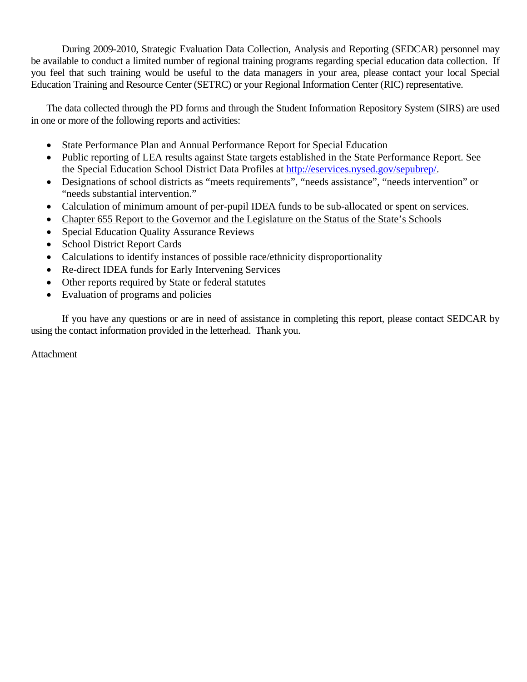During 2009-2010, Strategic Evaluation Data Collection, Analysis and Reporting (SEDCAR) personnel may be available to conduct a limited number of regional training programs regarding special education data collection. If you feel that such training would be useful to the data managers in your area, please contact your local Special Education Training and Resource Center (SETRC) or your Regional Information Center (RIC) representative.

The data collected through the PD forms and through the Student Information Repository System (SIRS) are used in one or more of the following reports and activities:

- State Performance Plan and Annual Performance Report for Special Education
- Public reporting of LEA results against State targets established in the State Performance Report. See the Special Education School District Data Profiles at http://eservices.nysed.gov/sepubrep/.
- Designations of school districts as "meets requirements", "needs assistance", "needs intervention" or "needs substantial intervention."
- Calculation of minimum amount of per-pupil IDEA funds to be sub-allocated or spent on services.
- Chapter 655 Report to the Governor and the Legislature on the Status of the State's Schools
- Special Education Quality Assurance Reviews
- School District Report Cards
- Calculations to identify instances of possible race/ethnicity disproportionality
- Re-direct IDEA funds for Early Intervening Services
- Other reports required by State or federal statutes
- Evaluation of programs and policies

If you have any questions or are in need of assistance in completing this report, please contact SEDCAR by using the contact information provided in the letterhead. Thank you.

Attachment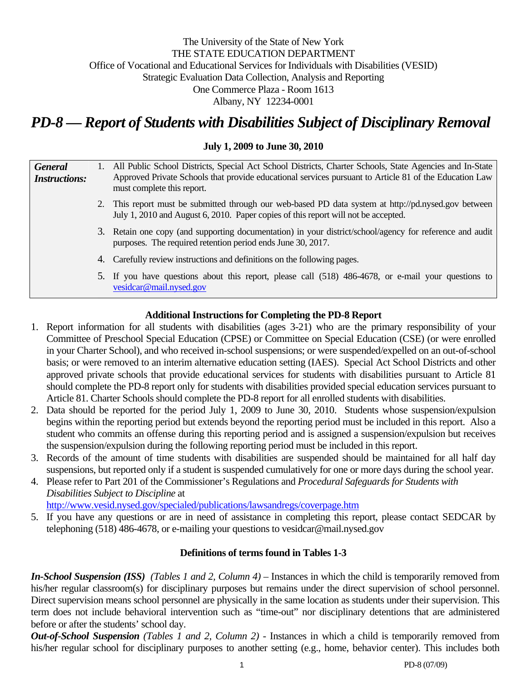# The University of the State of New York THE STATE EDUCATION DEPARTMENT Office of Vocational and Educational Services for Individuals with Disabilities (VESID) Strategic Evaluation Data Collection, Analysis and Reporting One Commerce Plaza - Room 1613 Albany, NY 12234-0001

# *PD-8 — Report of Students with Disabilities Subject of Disciplinary Removal*

# **July 1, 2009 to June 30, 2010**

| <b>General</b><br><b>Instructions:</b>                      |  | 1. All Public School Districts, Special Act School Districts, Charter Schools, State Agencies and In-State<br>Approved Private Schools that provide educational services pursuant to Article 81 of the Education Law<br>must complete this report. |
|-------------------------------------------------------------|--|----------------------------------------------------------------------------------------------------------------------------------------------------------------------------------------------------------------------------------------------------|
|                                                             |  | 2. This report must be submitted through our web-based PD data system at http://pd.nysed.gov between<br>July 1, 2010 and August 6, 2010. Paper copies of this report will not be accepted.                                                         |
| purposes. The required retention period ends June 30, 2017. |  | 3. Retain one copy (and supporting documentation) in your district/school/agency for reference and audit                                                                                                                                           |
|                                                             |  | 4. Carefully review instructions and definitions on the following pages.                                                                                                                                                                           |
|                                                             |  | 5. If you have questions about this report, please call (518) 486-4678, or e-mail your questions to<br>vesidcar@mail.nysed.gov                                                                                                                     |

# **Additional Instructions for Completing the PD-8 Report**

- 1. Report information for all students with disabilities (ages 3-21) who are the primary responsibility of your Committee of Preschool Special Education (CPSE) or Committee on Special Education (CSE) (or were enrolled in your Charter School), and who received in-school suspensions; or were suspended/expelled on an out-of-school basis; or were removed to an interim alternative education setting (IAES). Special Act School Districts and other approved private schools that provide educational services for students with disabilities pursuant to Article 81 should complete the PD-8 report only for students with disabilities provided special education services pursuant to Article 81. Charter Schools should complete the PD-8 report for all enrolled students with disabilities.
- 2. Data should be reported for the period July 1, 2009 to June 30, 2010. Students whose suspension/expulsion begins within the reporting period but extends beyond the reporting period must be included in this report. Also a student who commits an offense during this reporting period and is assigned a suspension/expulsion but receives the suspension/expulsion during the following reporting period must be included in this report.
- 3. Records of the amount of time students with disabilities are suspended should be maintained for all half day suspensions, but reported only if a student is suspended cumulatively for one or more days during the school year.
- 4. Please refer to Part 201 of the Commissioner's Regulations and *Procedural Safeguards for Students with Disabilities Subject to Discipline* at

http://www.vesid.nysed.gov/specialed/publications/lawsandregs/coverpage.htm

5. If you have any questions or are in need of assistance in completing this report, please contact SEDCAR by telephoning (518) 486-4678, or e-mailing your questions to vesidcar@mail.nysed.gov

# **Definitions of terms found in Tables 1-3**

*In-School Suspension (ISS) (Tables 1 and 2, Column 4)* – Instances in which the child is temporarily removed from his/her regular classroom(s) for disciplinary purposes but remains under the direct supervision of school personnel. Direct supervision means school personnel are physically in the same location as students under their supervision. This term does not include behavioral intervention such as "time-out" nor disciplinary detentions that are administered before or after the students' school day.

*Out-of-School Suspension (Tables 1 and 2, Column 2) -* Instances in which a child is temporarily removed from his/her regular school for disciplinary purposes to another setting (e.g., home, behavior center). This includes both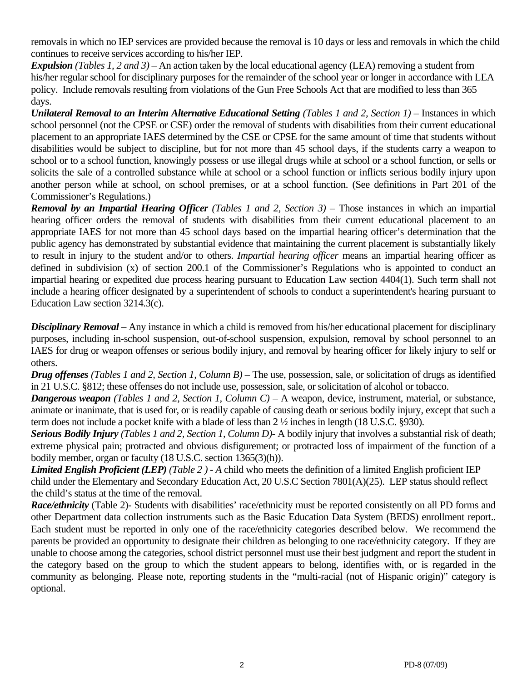removals in which no IEP services are provided because the removal is 10 days or less and removals in which the child continues to receive services according to his/her IEP.

*Expulsion (Tables 1, 2 and 3)* – An action taken by the local educational agency (LEA) removing a student from his/her regular school for disciplinary purposes for the remainder of the school year or longer in accordance with LEA policy. Include removals resulting from violations of the Gun Free Schools Act that are modified to less than 365 days.

*Unilateral Removal to an Interim Alternative Educational Setting (Tables 1 and 2, Section 1)* – Instances in which school personnel (not the CPSE or CSE) order the removal of students with disabilities from their current educational placement to an appropriate IAES determined by the CSE or CPSE for the same amount of time that students without disabilities would be subject to discipline, but for not more than 45 school days, if the students carry a weapon to school or to a school function, knowingly possess or use illegal drugs while at school or a school function, or sells or solicits the sale of a controlled substance while at school or a school function or inflicts serious bodily injury upon another person while at school, on school premises, or at a school function. (See definitions in Part 201 of the Commissioner's Regulations.)

*Removal by an Impartial Hearing Officer (Tables 1 and 2, Section 3)* – Those instances in which an impartial hearing officer orders the removal of students with disabilities from their current educational placement to an appropriate IAES for not more than 45 school days based on the impartial hearing officer's determination that the public agency has demonstrated by substantial evidence that maintaining the current placement is substantially likely to result in injury to the student and/or to others. *Impartial hearing officer* means an impartial hearing officer as defined in subdivision (x) of section 200.1 of the Commissioner's Regulations who is appointed to conduct an impartial hearing or expedited due process hearing pursuant to Education Law section 4404(1). Such term shall not include a hearing officer designated by a superintendent of schools to conduct a superintendent's hearing pursuant to Education Law section 3214.3(c).

*Disciplinary Removal* – Any instance in which a child is removed from his/her educational placement for disciplinary purposes, including in-school suspension, out-of-school suspension, expulsion, removal by school personnel to an IAES for drug or weapon offenses or serious bodily injury, and removal by hearing officer for likely injury to self or others.

*Drug offenses (Tables 1 and 2, Section 1, Column B)* – The use, possession, sale, or solicitation of drugs as identified in 21 U.S.C. §812; these offenses do not include use, possession, sale, or solicitation of alcohol or tobacco.

*Dangerous weapon (Tables 1 and 2, Section 1, Column C)* – A weapon, device, instrument, material, or substance, animate or inanimate, that is used for, or is readily capable of causing death or serious bodily injury, except that such a term does not include a pocket knife with a blade of less than 2 ½ inches in length (18 U.S.C. §930).

*Serious Bodily Injury (Tables 1 and 2, Section 1, Column D)-* A bodily injury that involves a substantial risk of death; extreme physical pain; protracted and obvious disfigurement; or protracted loss of impairment of the function of a bodily member, organ or faculty (18 U.S.C. section 1365(3)(h)).

*Limited English Proficient (LEP) (Table 2 ) - A* child who meets the definition of a limited English proficient IEP child under the Elementary and Secondary Education Act, 20 U.S.C Section 7801(A)(25). LEP status should reflect the child's status at the time of the removal.

*Race/ethnicity* (Table 2)- Students with disabilities' race/ethnicity must be reported consistently on all PD forms and other Department data collection instruments such as the Basic Education Data System (BEDS) enrollment report.. Each student must be reported in only one of the race/ethnicity categories described below. We recommend the parents be provided an opportunity to designate their children as belonging to one race/ethnicity category. If they are unable to choose among the categories, school district personnel must use their best judgment and report the student in the category based on the group to which the student appears to belong, identifies with, or is regarded in the community as belonging. Please note, reporting students in the "multi-racial (not of Hispanic origin)" category is optional.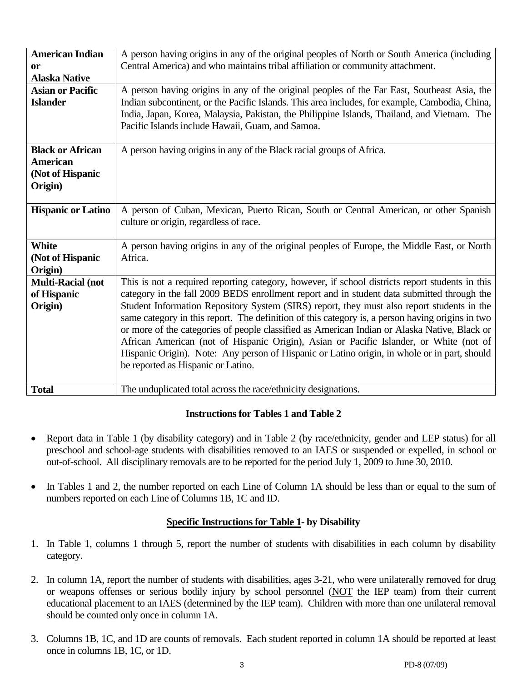| <b>American Indian</b>    | A person having origins in any of the original peoples of North or South America (including      |  |  |
|---------------------------|--------------------------------------------------------------------------------------------------|--|--|
| or                        | Central America) and who maintains tribal affiliation or community attachment.                   |  |  |
| <b>Alaska Native</b>      |                                                                                                  |  |  |
| <b>Asian or Pacific</b>   | A person having origins in any of the original peoples of the Far East, Southeast Asia, the      |  |  |
| <b>Islander</b>           | Indian subcontinent, or the Pacific Islands. This area includes, for example, Cambodia, China,   |  |  |
|                           | India, Japan, Korea, Malaysia, Pakistan, the Philippine Islands, Thailand, and Vietnam. The      |  |  |
|                           | Pacific Islands include Hawaii, Guam, and Samoa.                                                 |  |  |
|                           |                                                                                                  |  |  |
| <b>Black or African</b>   | A person having origins in any of the Black racial groups of Africa.                             |  |  |
| <b>American</b>           |                                                                                                  |  |  |
| (Not of Hispanic          |                                                                                                  |  |  |
| Origin)                   |                                                                                                  |  |  |
|                           |                                                                                                  |  |  |
| <b>Hispanic or Latino</b> | A person of Cuban, Mexican, Puerto Rican, South or Central American, or other Spanish            |  |  |
|                           | culture or origin, regardless of race.                                                           |  |  |
|                           |                                                                                                  |  |  |
| <b>White</b>              | A person having origins in any of the original peoples of Europe, the Middle East, or North      |  |  |
| (Not of Hispanic          | Africa.                                                                                          |  |  |
|                           |                                                                                                  |  |  |
| Origin)                   |                                                                                                  |  |  |
| <b>Multi-Racial (not</b>  | This is not a required reporting category, however, if school districts report students in this  |  |  |
| of Hispanic               | category in the fall 2009 BEDS enrollment report and in student data submitted through the       |  |  |
| Origin)                   | Student Information Repository System (SIRS) report, they must also report students in the       |  |  |
|                           | same category in this report. The definition of this category is, a person having origins in two |  |  |
|                           | or more of the categories of people classified as American Indian or Alaska Native, Black or     |  |  |
|                           | African American (not of Hispanic Origin), Asian or Pacific Islander, or White (not of           |  |  |
|                           | Hispanic Origin). Note: Any person of Hispanic or Latino origin, in whole or in part, should     |  |  |
|                           | be reported as Hispanic or Latino.                                                               |  |  |
|                           |                                                                                                  |  |  |
| <b>Total</b>              | The unduplicated total across the race/ethnicity designations.                                   |  |  |
|                           |                                                                                                  |  |  |

# **Instructions for Tables 1 and Table 2**

- Report data in Table 1 (by disability category) and in Table 2 (by race/ethnicity, gender and LEP status) for all preschool and school-age students with disabilities removed to an IAES or suspended or expelled, in school or out-of-school. All disciplinary removals are to be reported for the period July 1, 2009 to June 30, 2010.
- In Tables 1 and 2, the number reported on each Line of Column 1A should be less than or equal to the sum of numbers reported on each Line of Columns 1B, 1C and ID.

# **Specific Instructions for Table 1- by Disability**

- 1. In Table 1, columns 1 through 5, report the number of students with disabilities in each column by disability category.
- 2. In column 1A, report the number of students with disabilities, ages 3-21, who were unilaterally removed for drug or weapons offenses or serious bodily injury by school personnel (NOT the IEP team) from their current educational placement to an IAES (determined by the IEP team). Children with more than one unilateral removal should be counted only once in column 1A.
- 3. Columns 1B, 1C, and 1D are counts of removals. Each student reported in column 1A should be reported at least once in columns 1B, 1C, or 1D.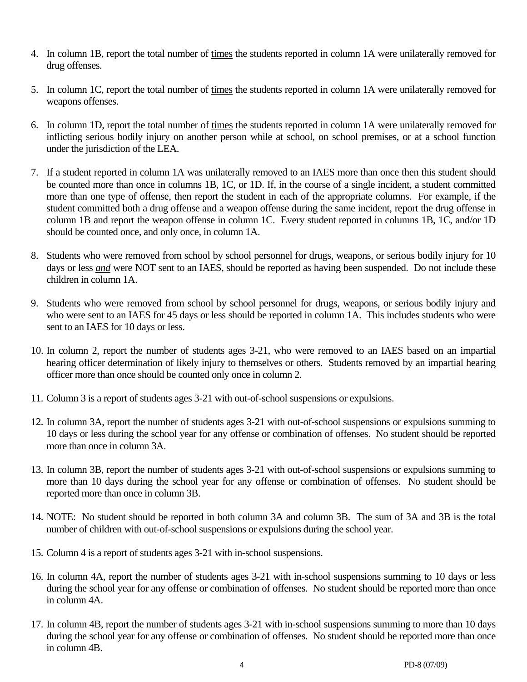- 4. In column 1B, report the total number of times the students reported in column 1A were unilaterally removed for drug offenses.
- 5. In column 1C, report the total number of times the students reported in column 1A were unilaterally removed for weapons offenses.
- 6. In column 1D, report the total number of times the students reported in column 1A were unilaterally removed for inflicting serious bodily injury on another person while at school, on school premises, or at a school function under the jurisdiction of the LEA.
- 7. If a student reported in column 1A was unilaterally removed to an IAES more than once then this student should be counted more than once in columns 1B, 1C, or 1D. If, in the course of a single incident, a student committed more than one type of offense, then report the student in each of the appropriate columns. For example, if the student committed both a drug offense and a weapon offense during the same incident, report the drug offense in column 1B and report the weapon offense in column 1C. Every student reported in columns 1B, 1C, and/or 1D should be counted once, and only once, in column 1A.
- 8. Students who were removed from school by school personnel for drugs, weapons, or serious bodily injury for 10 days or less *and* were NOT sent to an IAES, should be reported as having been suspended. Do not include these children in column 1A.
- 9. Students who were removed from school by school personnel for drugs, weapons, or serious bodily injury and who were sent to an IAES for 45 days or less should be reported in column 1A. This includes students who were sent to an IAES for 10 days or less.
- 10. In column 2, report the number of students ages 3-21, who were removed to an IAES based on an impartial hearing officer determination of likely injury to themselves or others. Students removed by an impartial hearing officer more than once should be counted only once in column 2.
- 11. Column 3 is a report of students ages 3-21 with out-of-school suspensions or expulsions.
- 12. In column 3A, report the number of students ages 3-21 with out-of-school suspensions or expulsions summing to 10 days or less during the school year for any offense or combination of offenses. No student should be reported more than once in column 3A.
- 13. In column 3B, report the number of students ages 3-21 with out-of-school suspensions or expulsions summing to more than 10 days during the school year for any offense or combination of offenses. No student should be reported more than once in column 3B.
- 14. NOTE: No student should be reported in both column 3A and column 3B. The sum of 3A and 3B is the total number of children with out-of-school suspensions or expulsions during the school year.
- 15. Column 4 is a report of students ages 3-21 with in-school suspensions.
- 16. In column 4A, report the number of students ages 3-21 with in-school suspensions summing to 10 days or less during the school year for any offense or combination of offenses. No student should be reported more than once in column 4A.
- 17. In column 4B, report the number of students ages 3-21 with in-school suspensions summing to more than 10 days during the school year for any offense or combination of offenses. No student should be reported more than once in column 4B.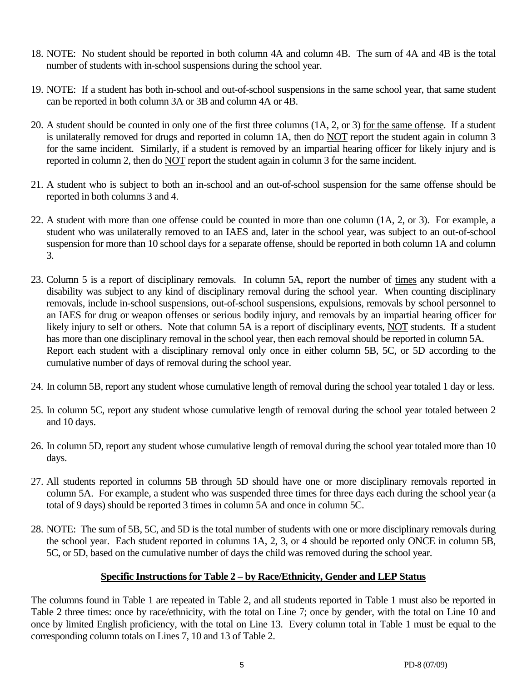- 18. NOTE: No student should be reported in both column 4A and column 4B. The sum of 4A and 4B is the total number of students with in-school suspensions during the school year.
- 19. NOTE: If a student has both in-school and out-of-school suspensions in the same school year, that same student can be reported in both column 3A or 3B and column 4A or 4B.
- 20. A student should be counted in only one of the first three columns (1A, 2, or 3) for the same offense. If a student is unilaterally removed for drugs and reported in column 1A, then do NOT report the student again in column 3 for the same incident. Similarly, if a student is removed by an impartial hearing officer for likely injury and is reported in column 2, then do NOT report the student again in column 3 for the same incident.
- 21. A student who is subject to both an in-school and an out-of-school suspension for the same offense should be reported in both columns 3 and 4.
- 22. A student with more than one offense could be counted in more than one column (1A, 2, or 3). For example, a student who was unilaterally removed to an IAES and, later in the school year, was subject to an out-of-school suspension for more than 10 school days for a separate offense, should be reported in both column 1A and column 3.
- 23. Column 5 is a report of disciplinary removals. In column 5A, report the number of times any student with a disability was subject to any kind of disciplinary removal during the school year. When counting disciplinary removals, include in-school suspensions, out-of-school suspensions, expulsions, removals by school personnel to an IAES for drug or weapon offenses or serious bodily injury, and removals by an impartial hearing officer for likely injury to self or others. Note that column 5A is a report of disciplinary events, NOT students. If a student has more than one disciplinary removal in the school year, then each removal should be reported in column 5A. Report each student with a disciplinary removal only once in either column 5B, 5C, or 5D according to the cumulative number of days of removal during the school year.
- 24. In column 5B, report any student whose cumulative length of removal during the school year totaled 1 day or less.
- 25. In column 5C, report any student whose cumulative length of removal during the school year totaled between 2 and 10 days.
- 26. In column 5D, report any student whose cumulative length of removal during the school year totaled more than 10 days.
- 27. All students reported in columns 5B through 5D should have one or more disciplinary removals reported in column 5A. For example, a student who was suspended three times for three days each during the school year (a total of 9 days) should be reported 3 times in column 5A and once in column 5C.
- 28. NOTE: The sum of 5B, 5C, and 5D is the total number of students with one or more disciplinary removals during the school year. Each student reported in columns 1A, 2, 3, or 4 should be reported only ONCE in column 5B, 5C, or 5D, based on the cumulative number of days the child was removed during the school year.

## **Specific Instructions for Table 2 – by Race/Ethnicity, Gender and LEP Status**

The columns found in Table 1 are repeated in Table 2, and all students reported in Table 1 must also be reported in Table 2 three times: once by race/ethnicity, with the total on Line 7; once by gender, with the total on Line 10 and once by limited English proficiency, with the total on Line 13. Every column total in Table 1 must be equal to the corresponding column totals on Lines 7, 10 and 13 of Table 2.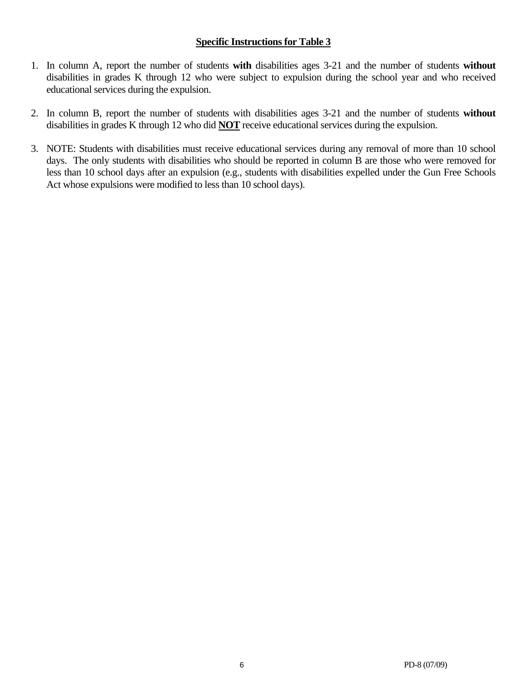# **Specific Instructions for Table 3**

- 1. In column A, report the number of students **with** disabilities ages 3-21 and the number of students **without**  disabilities in grades K through 12 who were subject to expulsion during the school year and who received educational services during the expulsion.
- 2. In column B, report the number of students with disabilities ages 3-21 and the number of students **without**  disabilities in grades K through 12 who did **NOT** receive educational services during the expulsion.
- 3. NOTE: Students with disabilities must receive educational services during any removal of more than 10 school days. The only students with disabilities who should be reported in column B are those who were removed for less than 10 school days after an expulsion (e.g., students with disabilities expelled under the Gun Free Schools Act whose expulsions were modified to less than 10 school days).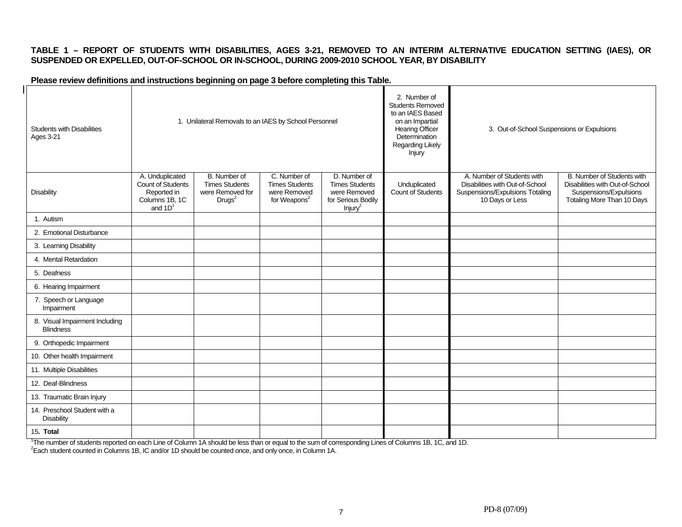### **TABLE 1 – REPORT OF STUDENTS WITH DISABILITIES, AGES 3-21, REMOVED TO AN INTERIM ALTERNATIVE EDUCATION SETTING (IAES), OR SUSPENDED OR EXPELLED, OUT-OF-SCHOOL OR IN-SCHOOL, DURING 2009-2010 SCHOOL YEAR, BY DISABILITY**

### **Please review definitions and instructions beginning on page 3 before completing this Table.**

| <b>Students with Disabilities</b><br><b>Ages 3-21</b> | 1. Unilateral Removals to an IAES by School Personnel                              |                                                                                 |                                                                                   |                                                                                                    | 2. Number of<br><b>Students Removed</b><br>to an IAES Based<br>on an Impartial<br><b>Hearing Officer</b><br>Determination<br>Regarding Likely<br>Injury | 3. Out-of-School Suspensions or Expulsions                                                                          |                                                                                                                       |
|-------------------------------------------------------|------------------------------------------------------------------------------------|---------------------------------------------------------------------------------|-----------------------------------------------------------------------------------|----------------------------------------------------------------------------------------------------|---------------------------------------------------------------------------------------------------------------------------------------------------------|---------------------------------------------------------------------------------------------------------------------|-----------------------------------------------------------------------------------------------------------------------|
| <b>Disability</b>                                     | A. Unduplicated<br>Count of Students<br>Reported in<br>Columns 1B, 1C<br>and $1D1$ | B. Number of<br><b>Times Students</b><br>were Removed for<br>Drugs <sup>2</sup> | C. Number of<br><b>Times Students</b><br>were Removed<br>for Weapons <sup>2</sup> | D. Number of<br><b>Times Students</b><br>were Removed<br>for Serious Bodily<br>Injury <sup>2</sup> | Unduplicated<br>Count of Students                                                                                                                       | A. Number of Students with<br>Disabilities with Out-of-School<br>Suspensions/Expulsions Totaling<br>10 Days or Less | B. Number of Students with<br>Disabilities with Out-of-School<br>Suspensions/Expulsions<br>Totaling More Than 10 Days |
| 1. Autism                                             |                                                                                    |                                                                                 |                                                                                   |                                                                                                    |                                                                                                                                                         |                                                                                                                     |                                                                                                                       |
| 2. Emotional Disturbance                              |                                                                                    |                                                                                 |                                                                                   |                                                                                                    |                                                                                                                                                         |                                                                                                                     |                                                                                                                       |
| 3. Learning Disability                                |                                                                                    |                                                                                 |                                                                                   |                                                                                                    |                                                                                                                                                         |                                                                                                                     |                                                                                                                       |
| 4. Mental Retardation                                 |                                                                                    |                                                                                 |                                                                                   |                                                                                                    |                                                                                                                                                         |                                                                                                                     |                                                                                                                       |
| 5. Deafness                                           |                                                                                    |                                                                                 |                                                                                   |                                                                                                    |                                                                                                                                                         |                                                                                                                     |                                                                                                                       |
| 6. Hearing Impairment                                 |                                                                                    |                                                                                 |                                                                                   |                                                                                                    |                                                                                                                                                         |                                                                                                                     |                                                                                                                       |
| 7. Speech or Language<br>Impairment                   |                                                                                    |                                                                                 |                                                                                   |                                                                                                    |                                                                                                                                                         |                                                                                                                     |                                                                                                                       |
| 8. Visual Impairment Including<br><b>Blindness</b>    |                                                                                    |                                                                                 |                                                                                   |                                                                                                    |                                                                                                                                                         |                                                                                                                     |                                                                                                                       |
| 9. Orthopedic Impairment                              |                                                                                    |                                                                                 |                                                                                   |                                                                                                    |                                                                                                                                                         |                                                                                                                     |                                                                                                                       |
| 10. Other health Impairment                           |                                                                                    |                                                                                 |                                                                                   |                                                                                                    |                                                                                                                                                         |                                                                                                                     |                                                                                                                       |
| 11. Multiple Disabilities                             |                                                                                    |                                                                                 |                                                                                   |                                                                                                    |                                                                                                                                                         |                                                                                                                     |                                                                                                                       |
| 12. Deaf-Blindness                                    |                                                                                    |                                                                                 |                                                                                   |                                                                                                    |                                                                                                                                                         |                                                                                                                     |                                                                                                                       |
| 13. Traumatic Brain Injury                            |                                                                                    |                                                                                 |                                                                                   |                                                                                                    |                                                                                                                                                         |                                                                                                                     |                                                                                                                       |
| 14. Preschool Student with a<br><b>Disability</b>     |                                                                                    |                                                                                 |                                                                                   |                                                                                                    |                                                                                                                                                         |                                                                                                                     |                                                                                                                       |
| 15. Total                                             |                                                                                    |                                                                                 |                                                                                   |                                                                                                    |                                                                                                                                                         |                                                                                                                     |                                                                                                                       |

<sup>1</sup>The number of students reported on each Line of Column 1A should be less than or equal to the sum of corresponding Lines of Columns 1B, 1C, and 1D.<br><sup>2</sup>Each student counted in Columns 1B, IC and/or 1D should be counted o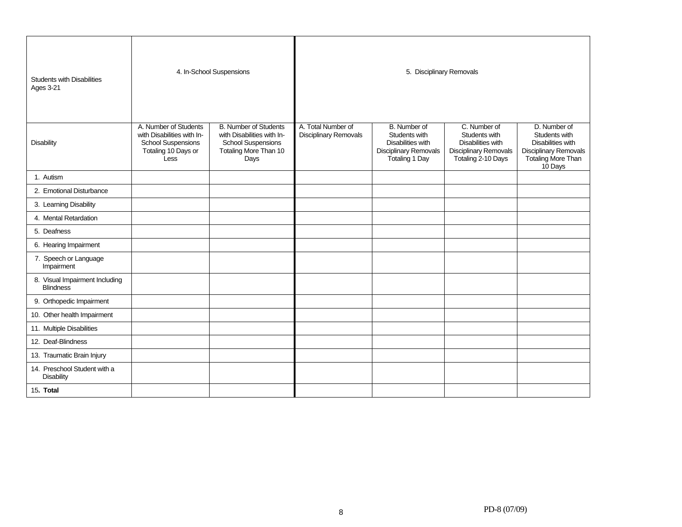| <b>Students with Disabilities</b><br><b>Ages 3-21</b> |                                                                                                                 | 4. In-School Suspensions                                                                                                 | 5. Disciplinary Removals                    |                                                                                                      |                                                                                                          |                                                                                                                                   |
|-------------------------------------------------------|-----------------------------------------------------------------------------------------------------------------|--------------------------------------------------------------------------------------------------------------------------|---------------------------------------------|------------------------------------------------------------------------------------------------------|----------------------------------------------------------------------------------------------------------|-----------------------------------------------------------------------------------------------------------------------------------|
| <b>Disability</b>                                     | A. Number of Students<br>with Disabilities with In-<br><b>School Suspensions</b><br>Totaling 10 Days or<br>Less | <b>B. Number of Students</b><br>with Disabilities with In-<br><b>School Suspensions</b><br>Totaling More Than 10<br>Days | A. Total Number of<br>Disciplinary Removals | B. Number of<br>Students with<br>Disabilities with<br><b>Disciplinary Removals</b><br>Totaling 1 Day | C. Number of<br>Students with<br>Disabilities with<br><b>Disciplinary Removals</b><br>Totaling 2-10 Days | D. Number of<br>Students with<br><b>Disabilities with</b><br><b>Disciplinary Removals</b><br><b>Totaling More Than</b><br>10 Days |
| 1. Autism                                             |                                                                                                                 |                                                                                                                          |                                             |                                                                                                      |                                                                                                          |                                                                                                                                   |
| 2. Emotional Disturbance                              |                                                                                                                 |                                                                                                                          |                                             |                                                                                                      |                                                                                                          |                                                                                                                                   |
| 3. Learning Disability                                |                                                                                                                 |                                                                                                                          |                                             |                                                                                                      |                                                                                                          |                                                                                                                                   |
| 4. Mental Retardation                                 |                                                                                                                 |                                                                                                                          |                                             |                                                                                                      |                                                                                                          |                                                                                                                                   |
| 5. Deafness                                           |                                                                                                                 |                                                                                                                          |                                             |                                                                                                      |                                                                                                          |                                                                                                                                   |
| 6. Hearing Impairment                                 |                                                                                                                 |                                                                                                                          |                                             |                                                                                                      |                                                                                                          |                                                                                                                                   |
| 7. Speech or Language<br>Impairment                   |                                                                                                                 |                                                                                                                          |                                             |                                                                                                      |                                                                                                          |                                                                                                                                   |
| 8. Visual Impairment Including<br><b>Blindness</b>    |                                                                                                                 |                                                                                                                          |                                             |                                                                                                      |                                                                                                          |                                                                                                                                   |
| 9. Orthopedic Impairment                              |                                                                                                                 |                                                                                                                          |                                             |                                                                                                      |                                                                                                          |                                                                                                                                   |
| 10. Other health Impairment                           |                                                                                                                 |                                                                                                                          |                                             |                                                                                                      |                                                                                                          |                                                                                                                                   |
| 11. Multiple Disabilities                             |                                                                                                                 |                                                                                                                          |                                             |                                                                                                      |                                                                                                          |                                                                                                                                   |
| 12. Deaf-Blindness                                    |                                                                                                                 |                                                                                                                          |                                             |                                                                                                      |                                                                                                          |                                                                                                                                   |
| 13. Traumatic Brain Injury                            |                                                                                                                 |                                                                                                                          |                                             |                                                                                                      |                                                                                                          |                                                                                                                                   |
| 14. Preschool Student with a<br>Disability            |                                                                                                                 |                                                                                                                          |                                             |                                                                                                      |                                                                                                          |                                                                                                                                   |
| 15. Total                                             |                                                                                                                 |                                                                                                                          |                                             |                                                                                                      |                                                                                                          |                                                                                                                                   |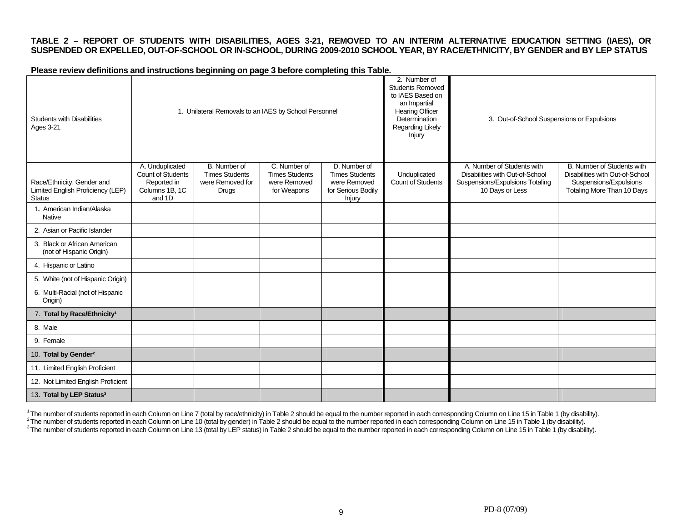### **TABLE 2 – REPORT OF STUDENTS WITH DISABILITIES, AGES 3-21, REMOVED TO AN INTERIM ALTERNATIVE EDUCATION SETTING (IAES), OR SUSPENDED OR EXPELLED, OUT-OF-SCHOOL OR IN-SCHOOL, DURING 2009-2010 SCHOOL YEAR, BY RACE/ETHNICITY, BY GENDER and BY LEP STATUS**

**Please review definitions and instructions beginning on page 3 before completing this Table.** 

| <b>Students with Disabilities</b><br>Ages 3-21                                   | 1. Unilateral Removals to an IAES by School Personnel                           |                                                                           |                                                                      | 2. Number of<br><b>Students Removed</b><br>to IAES Based on<br>an Impartial<br>Hearing Officer<br>Determination<br>Regarding Likely<br>Injury | 3. Out-of-School Suspensions or Expulsions |                                                                                                                     |                                                                                                                       |
|----------------------------------------------------------------------------------|---------------------------------------------------------------------------------|---------------------------------------------------------------------------|----------------------------------------------------------------------|-----------------------------------------------------------------------------------------------------------------------------------------------|--------------------------------------------|---------------------------------------------------------------------------------------------------------------------|-----------------------------------------------------------------------------------------------------------------------|
| Race/Ethnicity, Gender and<br>Limited English Proficiency (LEP)<br><b>Status</b> | A. Unduplicated<br>Count of Students<br>Reported in<br>Columns 1B, 1C<br>and 1D | B. Number of<br><b>Times Students</b><br>were Removed for<br><b>Drugs</b> | C. Number of<br><b>Times Students</b><br>were Removed<br>for Weapons | D. Number of<br><b>Times Students</b><br>were Removed<br>for Serious Bodily<br>Injury                                                         | Unduplicated<br>Count of Students          | A. Number of Students with<br>Disabilities with Out-of-School<br>Suspensions/Expulsions Totaling<br>10 Days or Less | B. Number of Students with<br>Disabilities with Out-of-School<br>Suspensions/Expulsions<br>Totaling More Than 10 Days |
| 1. American Indian/Alaska<br>Native                                              |                                                                                 |                                                                           |                                                                      |                                                                                                                                               |                                            |                                                                                                                     |                                                                                                                       |
| 2. Asian or Pacific Islander                                                     |                                                                                 |                                                                           |                                                                      |                                                                                                                                               |                                            |                                                                                                                     |                                                                                                                       |
| 3. Black or African American<br>(not of Hispanic Origin)                         |                                                                                 |                                                                           |                                                                      |                                                                                                                                               |                                            |                                                                                                                     |                                                                                                                       |
| 4. Hispanic or Latino                                                            |                                                                                 |                                                                           |                                                                      |                                                                                                                                               |                                            |                                                                                                                     |                                                                                                                       |
| 5. White (not of Hispanic Origin)                                                |                                                                                 |                                                                           |                                                                      |                                                                                                                                               |                                            |                                                                                                                     |                                                                                                                       |
| 6. Multi-Racial (not of Hispanic<br>Origin)                                      |                                                                                 |                                                                           |                                                                      |                                                                                                                                               |                                            |                                                                                                                     |                                                                                                                       |
| 7. Total by Race/Ethnicity <sup>1</sup>                                          |                                                                                 |                                                                           |                                                                      |                                                                                                                                               |                                            |                                                                                                                     |                                                                                                                       |
| 8. Male                                                                          |                                                                                 |                                                                           |                                                                      |                                                                                                                                               |                                            |                                                                                                                     |                                                                                                                       |
| 9. Female                                                                        |                                                                                 |                                                                           |                                                                      |                                                                                                                                               |                                            |                                                                                                                     |                                                                                                                       |
| 10. Total by Gender <sup>2</sup>                                                 |                                                                                 |                                                                           |                                                                      |                                                                                                                                               |                                            |                                                                                                                     |                                                                                                                       |
| 11. Limited English Proficient                                                   |                                                                                 |                                                                           |                                                                      |                                                                                                                                               |                                            |                                                                                                                     |                                                                                                                       |
| 12. Not Limited English Proficient                                               |                                                                                 |                                                                           |                                                                      |                                                                                                                                               |                                            |                                                                                                                     |                                                                                                                       |
| 13. Total by LEP Status <sup>3</sup>                                             |                                                                                 |                                                                           |                                                                      |                                                                                                                                               |                                            |                                                                                                                     |                                                                                                                       |

<sup>1</sup>The number of students reported in each Column on Line 7 (total by race/ethnicity) in Table 2 should be equal to the number reported in each corresponding Column on Line 15 in Table 1 (by disability).<br>
<sup>2</sup>The number of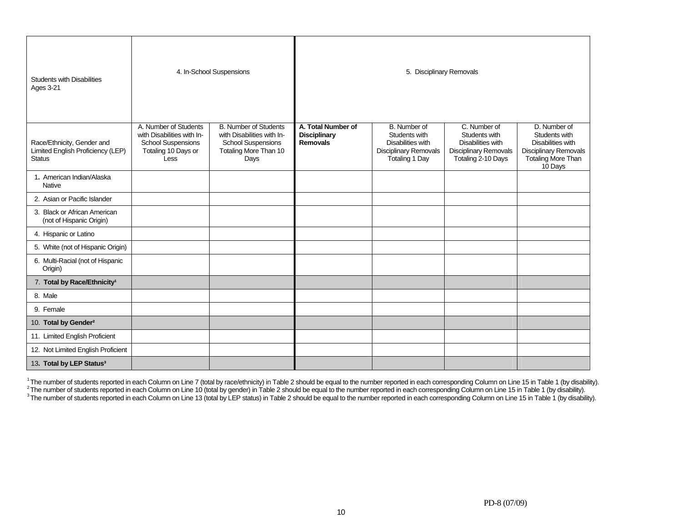| <b>Students with Disabilities</b><br><b>Ages 3-21</b>                            |                                                                                                                 | 4. In-School Suspensions                                                                                                 |                                                              | 5. Disciplinary Removals                                                                                    |                                                                                                          |                                                                                                                            |
|----------------------------------------------------------------------------------|-----------------------------------------------------------------------------------------------------------------|--------------------------------------------------------------------------------------------------------------------------|--------------------------------------------------------------|-------------------------------------------------------------------------------------------------------------|----------------------------------------------------------------------------------------------------------|----------------------------------------------------------------------------------------------------------------------------|
| Race/Ethnicity, Gender and<br>Limited English Proficiency (LEP)<br><b>Status</b> | A. Number of Students<br>with Disabilities with In-<br><b>School Suspensions</b><br>Totaling 10 Days or<br>Less | <b>B. Number of Students</b><br>with Disabilities with In-<br><b>School Suspensions</b><br>Totaling More Than 10<br>Days | A. Total Number of<br><b>Disciplinary</b><br><b>Removals</b> | B. Number of<br>Students with<br>Disabilities with<br><b>Disciplinary Removals</b><br><b>Totaling 1 Day</b> | C. Number of<br>Students with<br>Disabilities with<br><b>Disciplinary Removals</b><br>Totaling 2-10 Days | D. Number of<br>Students with<br>Disabilities with<br><b>Disciplinary Removals</b><br><b>Totaling More Than</b><br>10 Days |
| 1. American Indian/Alaska<br>Native                                              |                                                                                                                 |                                                                                                                          |                                                              |                                                                                                             |                                                                                                          |                                                                                                                            |
| 2. Asian or Pacific Islander                                                     |                                                                                                                 |                                                                                                                          |                                                              |                                                                                                             |                                                                                                          |                                                                                                                            |
| 3. Black or African American<br>(not of Hispanic Origin)                         |                                                                                                                 |                                                                                                                          |                                                              |                                                                                                             |                                                                                                          |                                                                                                                            |
| 4. Hispanic or Latino                                                            |                                                                                                                 |                                                                                                                          |                                                              |                                                                                                             |                                                                                                          |                                                                                                                            |
| 5. White (not of Hispanic Origin)                                                |                                                                                                                 |                                                                                                                          |                                                              |                                                                                                             |                                                                                                          |                                                                                                                            |
| 6. Multi-Racial (not of Hispanic<br>Origin)                                      |                                                                                                                 |                                                                                                                          |                                                              |                                                                                                             |                                                                                                          |                                                                                                                            |
| 7. Total by Race/Ethnicity <sup>1</sup>                                          |                                                                                                                 |                                                                                                                          |                                                              |                                                                                                             |                                                                                                          |                                                                                                                            |
| 8. Male                                                                          |                                                                                                                 |                                                                                                                          |                                                              |                                                                                                             |                                                                                                          |                                                                                                                            |
| 9. Female                                                                        |                                                                                                                 |                                                                                                                          |                                                              |                                                                                                             |                                                                                                          |                                                                                                                            |
| 10. Total by Gender <sup>2</sup>                                                 |                                                                                                                 |                                                                                                                          |                                                              |                                                                                                             |                                                                                                          |                                                                                                                            |
| 11. Limited English Proficient                                                   |                                                                                                                 |                                                                                                                          |                                                              |                                                                                                             |                                                                                                          |                                                                                                                            |
| 12. Not Limited English Proficient                                               |                                                                                                                 |                                                                                                                          |                                                              |                                                                                                             |                                                                                                          |                                                                                                                            |
| 13. Total by LEP Status <sup>3</sup>                                             |                                                                                                                 |                                                                                                                          |                                                              |                                                                                                             |                                                                                                          |                                                                                                                            |

<sup>1</sup>The number of students reported in each Column on Line 7 (total by race/ethnicity) in Table 2 should be equal to the number reported in each corresponding Column on Line 15 in Table 1 (by disability).<br><sup>2</sup>The number of